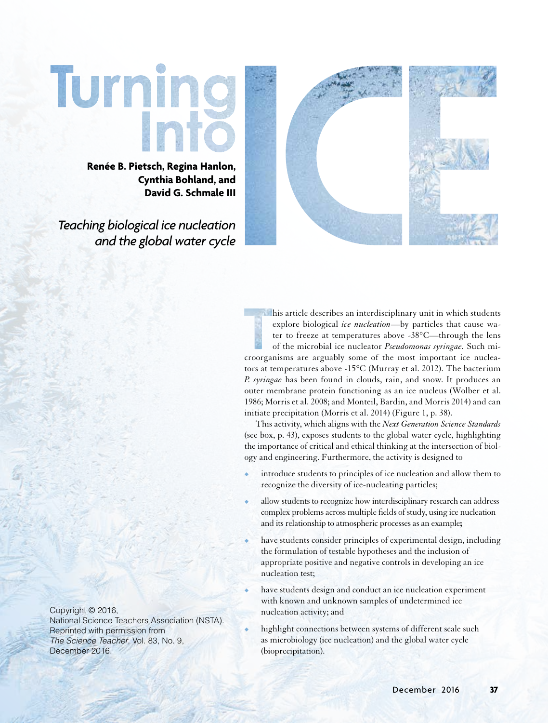# Turnin

**Renée B. Pietsch, Regina Hanlon, Cynthia Bohland, and David G. Schmale III**

*Teaching biological ice nucleation and the global water cycle*



his article describes an interdisciplinary unit in which students explore biological *ice nucleation*—by particles that cause water to freeze at temperatures above -38°C—through the lens of the microbial ice nucleator *Pseudomonas syringae.* Such microorganisms are arguably some of the most important ice nucleators at temperatures above -15°C (Murray et al. 2012). The bacterium *P. syringae* has been found in clouds, rain, and snow. It produces an outer membrane protein functioning as an ice nucleus (Wolber et al. 1986; Morris et al. 2008; and Monteil, Bardin, and Morris 2014) and can initiate precipitation (Morris et al. 2014) (Figure 1, p. 38).

This activity, which aligns with the *Next Generation Science Standards*  (see box, p. 43), exposes students to the global water cycle, highlighting the importance of critical and ethical thinking at the intersection of biology and engineering. Furthermore, the activity is designed to

- introduce students to principles of ice nucleation and allow them to recognize the diversity of ice-nucleating particles;
- allow students to recognize how interdisciplinary research can address complex problems across multiple fields of study, using ice nucleation and its relationship to atmospheric processes as an example**;**
- have students consider principles of experimental design, including the formulation of testable hypotheses and the inclusion of appropriate positive and negative controls in developing an ice nucleation test;
- have students design and conduct an ice nucleation experiment with known and unknown samples of undetermined ice nucleation activity; and

highlight connections between systems of different scale such as microbiology (ice nucleation) and the global water cycle (bioprecipitation).

Copyright © 2016, National Science Teachers Association (NSTA). Reprinted with permission from *The Science Teacher*, Vol. 83, No. 9, December 2016.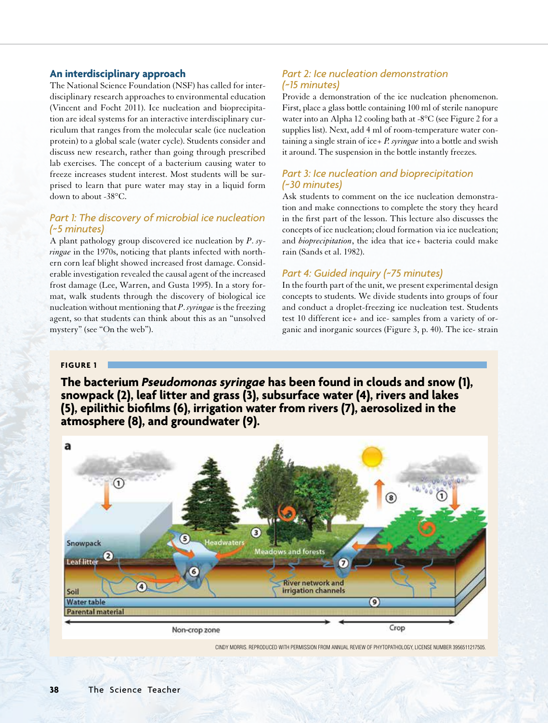## **An interdisciplinary approach**

The National Science Foundation (NSF) has called for interdisciplinary research approaches to environmental education (Vincent and Focht 2011). Ice nucleation and bioprecipitation are ideal systems for an interactive interdisciplinary curriculum that ranges from the molecular scale (ice nucleation protein) to a global scale (water cycle). Students consider and discuss new research, rather than going through prescribed lab exercises. The concept of a bacterium causing water to freeze increases student interest. Most students will be surprised to learn that pure water may stay in a liquid form down to about -38°C.

# *Part 1: The discovery of microbial ice nucleation (~5 minutes)*

A plant pathology group discovered ice nucleation by *P*. *syringae* in the 1970s, noticing that plants infected with northern corn leaf blight showed increased frost damage. Considerable investigation revealed the causal agent of the increased frost damage (Lee, Warren, and Gusta 1995). In a story format, walk students through the discovery of biological ice nucleation without mentioning that *P*. *syringae* is the freezing agent, so that students can think about this as an "unsolved mystery" (see "On the web").

# *Part 2: Ice nucleation demonstration (~15 minutes)*

Provide a demonstration of the ice nucleation phenomenon. First, place a glass bottle containing 100 ml of sterile nanopure water into an Alpha 12 cooling bath at -8°C (see Figure 2 for a supplies list). Next, add 4 ml of room-temperature water containing a single strain of ice+ *P. syringae* into a bottle and swish it around. The suspension in the bottle instantly freezes.

# *Part 3: Ice nucleation and bioprecipitation (~30 minutes)*

Ask students to comment on the ice nucleation demonstration and make connections to complete the story they heard in the first part of the lesson. This lecture also discusses the concepts of ice nucleation; cloud formation via ice nucleation; and *bioprecipitation*, the idea that ice+ bacteria could make rain (Sands et al. 1982).

## *Part 4: Guided inquiry (~75 minutes)*

In the fourth part of the unit, we present experimental design concepts to students. We divide students into groups of four and conduct a droplet-freezing ice nucleation test. Students test 10 different ice+ and ice- samples from a variety of organic and inorganic sources (Figure 3, p. 40). The ice- strain

## **FIGURE 1**

**The bacterium** *Pseudomonas syringae* **has been found in clouds and snow (1), snowpack (2), leaf litter and grass (3), subsurface water (4), rivers and lakes (5), epilithic biofilms (6), irrigation water from rivers (7), aerosolized in the atmosphere (8), and groundwater (9).** 



CINDY MORRIS. REPRODUCED WITH PERMISSION FROM ANNUAL REVIEW OF PHYTOPATHOLOGY, LICENSE NUMBER 3956511217505.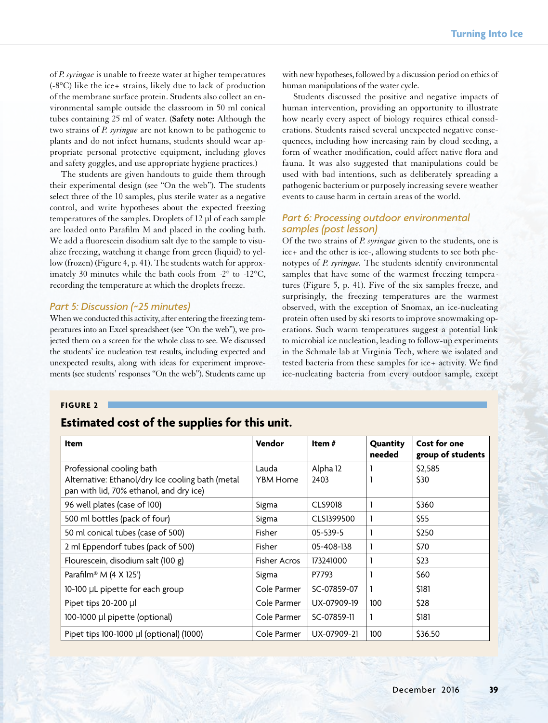of *P. syringae* is unable to freeze water at higher temperatures (-8°C) like the ice+ strains, likely due to lack of production of the membrane surface protein. Students also collect an environmental sample outside the classroom in 50 ml conical tubes containing 25 ml of water. (**Safety note:** Although the two strains of *P. syringae* are not known to be pathogenic to plants and do not infect humans, students should wear appropriate personal protective equipment, including gloves and safety goggles, and use appropriate hygiene practices.)

The students are given handouts to guide them through their experimental design (see "On the web"). The students select three of the 10 samples, plus sterile water as a negative control, and write hypotheses about the expected freezing temperatures of the samples. Droplets of 12 µl of each sample are loaded onto Parafilm M and placed in the cooling bath. We add a fluorescein disodium salt dye to the sample to visualize freezing, watching it change from green (liquid) to yellow (frozen) (Figure 4, p. 41). The students watch for approximately 30 minutes while the bath cools from -2° to -12°C, recording the temperature at which the droplets freeze.

# *Part 5: Discussion (~25 minutes)*

When we conducted this activity, after entering the freezing temperatures into an Excel spreadsheet (see "On the web"), we projected them on a screen for the whole class to see. We discussed the students' ice nucleation test results, including expected and unexpected results, along with ideas for experiment improvements (see students' responses "On the web"). Students came up

with new hypotheses, followed by a discussion period on ethics of human manipulations of the water cycle.

Students discussed the positive and negative impacts of human intervention, providing an opportunity to illustrate how nearly every aspect of biology requires ethical considerations. Students raised several unexpected negative consequences, including how increasing rain by cloud seeding, a form of weather modification, could affect native flora and fauna. It was also suggested that manipulations could be used with bad intentions, such as deliberately spreading a pathogenic bacterium or purposely increasing severe weather events to cause harm in certain areas of the world.

# *Part 6: Processing outdoor environmental samples (post lesson)*

Of the two strains of *P. syringae* given to the students, one is ice+ and the other is ice-, allowing students to see both phenotypes of *P. syringae.* The students identify environmental samples that have some of the warmest freezing temperatures (Figure 5, p. 41). Five of the six samples freeze, and surprisingly, the freezing temperatures are the warmest observed, with the exception of Snomax, an ice-nucleating protein often used by ski resorts to improve snowmaking operations. Such warm temperatures suggest a potential link to microbial ice nucleation, leading to follow-up experiments in the Schmale lab at Virginia Tech, where we isolated and tested bacteria from these samples for ice+ activity. We find ice-nucleating bacteria from every outdoor sample, except

#### **FIGURE 2**

# **Estimated cost of the supplies for this unit.**

| Item                                                                          | Vendor                   | Item $#$         | Quantity<br>needed | Cost for one<br>group of students |
|-------------------------------------------------------------------------------|--------------------------|------------------|--------------------|-----------------------------------|
| Professional cooling bath<br>Alternative: Ethanol/dry Ice cooling bath (metal | Lauda<br><b>YBM Home</b> | Alpha 12<br>2403 |                    | \$2,585<br>\$30                   |
| pan with lid, 70% ethanol, and dry ice)                                       |                          |                  |                    |                                   |
| 96 well plates (case of 100)                                                  | Sigma                    | <b>CLS9018</b>   |                    | \$360                             |
| 500 ml bottles (pack of four)                                                 | Sigma                    | CLS1399500       | 1                  | \$55                              |
| 50 ml conical tubes (case of 500)                                             | Fisher                   | $05 - 539 - 5$   |                    | \$250                             |
| 2 ml Eppendorf tubes (pack of 500)                                            | Fisher                   | 05-408-138       |                    | \$70                              |
| Flourescein, disodium salt (100 g)                                            | <b>Fisher Acros</b>      | 173241000        | 1                  | \$23                              |
| Parafilm® M $(4 \times 125')$                                                 | Sigma                    | P7793            |                    | \$60                              |
| 10-100 µL pipette for each group                                              | Cole Parmer              | SC-07859-07      | 1                  | \$181                             |
| Pipet tips 20-200 µl                                                          | Cole Parmer              | UX-07909-19      | 100                | \$28                              |
| 100-1000 µl pipette (optional)                                                | Cole Parmer              | SC-07859-11      | $\mathbf{1}$       | \$181                             |
| Pipet tips 100-1000 µl (optional) (1000)                                      | Cole Parmer              | UX-07909-21      | 100                | \$36.50                           |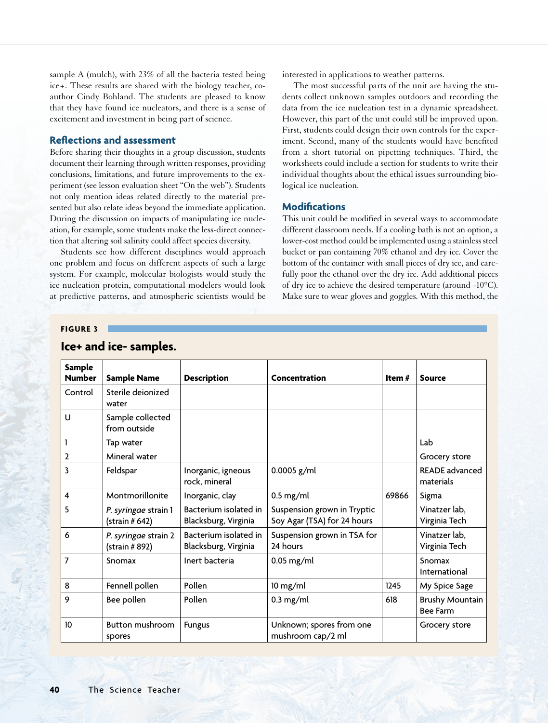sample A (mulch), with 23% of all the bacteria tested being ice+. These results are shared with the biology teacher, coauthor Cindy Bohland. The students are pleased to know that they have found ice nucleators, and there is a sense of excitement and investment in being part of science.

## **Reflections and assessment**

Before sharing their thoughts in a group discussion, students document their learning through written responses, providing conclusions, limitations, and future improvements to the experiment (see lesson evaluation sheet "On the web"). Students not only mention ideas related directly to the material presented but also relate ideas beyond the immediate application. During the discussion on impacts of manipulating ice nucleation, for example, some students make the less-direct connection that altering soil salinity could affect species diversity.

Students see how different disciplines would approach one problem and focus on different aspects of such a large system. For example, molecular biologists would study the ice nucleation protein, computational modelers would look at predictive patterns, and atmospheric scientists would be

interested in applications to weather patterns.

The most successful parts of the unit are having the students collect unknown samples outdoors and recording the data from the ice nucleation test in a dynamic spreadsheet. However, this part of the unit could still be improved upon. First, students could design their own controls for the experiment. Second, many of the students would have benefited from a short tutorial on pipetting techniques. Third, the worksheets could include a section for students to write their individual thoughts about the ethical issues surrounding biological ice nucleation.

## **Modifications**

This unit could be modified in several ways to accommodate different classroom needs. If a cooling bath is not an option, a lower-cost method could be implemented using a stainless steel bucket or pan containing 70% ethanol and dry ice. Cover the bottom of the container with small pieces of dry ice, and carefully poor the ethanol over the dry ice. Add additional pieces of dry ice to achieve the desired temperature (around -10°C). Make sure to wear gloves and goggles. With this method, the

#### **FIGURE 3**

| Sample         |                                         |                                               |                                                            |          |                                           |
|----------------|-----------------------------------------|-----------------------------------------------|------------------------------------------------------------|----------|-------------------------------------------|
| <b>Number</b>  | <b>Sample Name</b>                      | <b>Description</b>                            | Concentration                                              | Item $#$ | <b>Source</b>                             |
| Control        | Sterile deionized<br>water              |                                               |                                                            |          |                                           |
| U              | Sample collected<br>from outside        |                                               |                                                            |          |                                           |
| 1              | Tap water                               |                                               |                                                            |          | Lab                                       |
| $\overline{2}$ | Mineral water                           |                                               |                                                            |          | Grocery store                             |
| 3              | Feldspar                                | Inorganic, igneous<br>rock, mineral           | $0.0005$ g/ml                                              |          | <b>READE</b> advanced<br>materials        |
| 4              | Montmorillonite                         | Inorganic, clay                               | $0.5$ mg/ml                                                | 69866    | Sigma                                     |
| 5              | P. syringae strain 1<br>$(\sin \# 642)$ | Bacterium isolated in<br>Blacksburg, Virginia | Suspension grown in Tryptic<br>Soy Agar (TSA) for 24 hours |          | Vinatzer lab,<br>Virginia Tech            |
| 6              | P. syringae strain 2<br>(strain # 892)  | Bacterium isolated in<br>Blacksburg, Virginia | Suspension grown in TSA for<br>24 hours                    |          | Vinatzer lab,<br>Virginia Tech            |
| 7              | Snomax                                  | Inert bacteria                                | $0.05$ mg/ml                                               |          | Snomax<br>International                   |
| 8              | Fennell pollen                          | Pollen                                        | $10$ mg/ml                                                 | 1245     | My Spice Sage                             |
| 9              | Bee pollen                              | Pollen                                        | $0.3$ mg/ml                                                | 618      | <b>Brushy Mountain</b><br><b>Bee Farm</b> |
| 10             | <b>Button mushroom</b><br>spores        | <b>Fungus</b>                                 | Unknown; spores from one<br>mushroom cap/2 ml              |          | Grocery store                             |

# **Ice+ and ice- samples.**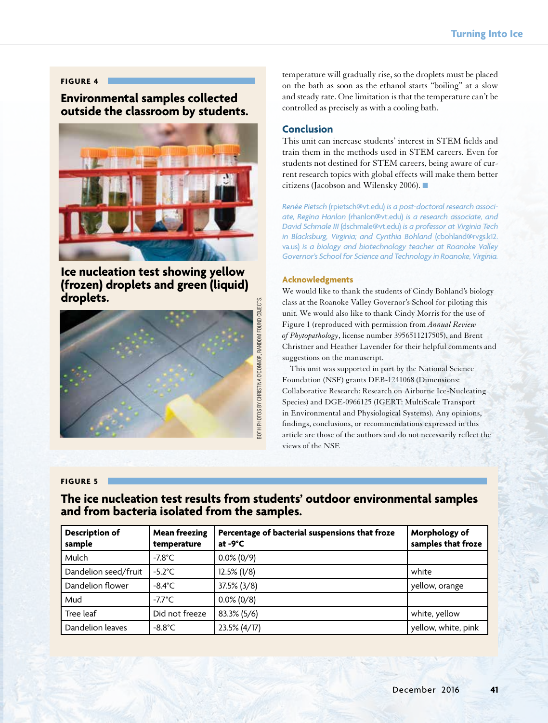### **FIGURE 4**

# **Environmental samples collected outside the classroom by students.**



**Ice nucleation test showing yellow (frozen) droplets and green (liquid) droplets.**



temperature will gradually rise, so the droplets must be placed on the bath as soon as the ethanol starts "boiling" at a slow and steady rate. One limitation is that the temperature can't be controlled as precisely as with a cooling bath.

# **Conclusion**

This unit can increase students' interest in STEM fields and train them in the methods used in STEM careers. Even for students not destined for STEM careers, being aware of current research topics with global effects will make them better citizens (Jacobson and Wilensky 2006). ■

*Renée Pietsch* (rpietsch@vt.edu) *is a post-doctoral research associate, Regina Hanlon* (rhanlon@vt.edu) *is a research associate, and David Schmale III* (dschmale@vt.edu) *is a professor at Virginia Tech in Blacksburg, Virginia; and Cynthia Bohland* (cbohland@rvgs.k12. va.us) *is a biology and biotechnology teacher at Roanoke Valley Governor's School for Science and Technology in Roanoke, Virginia.*

#### **Acknowledgments**

We would like to thank the students of Cindy Bohland's biology class at the Roanoke Valley Governor's School for piloting this unit. We would also like to thank Cindy Morris for the use of Figure 1 (reproduced with permission from *Annual Review of Phytopathology*, license number 3956511217505), and Brent Christner and Heather Lavender for their helpful comments and suggestions on the manuscript.

 This unit was supported in part by the National Science Foundation (NSF) grants DEB-1241068 (Dimensions: Collaborative Research: Research on Airborne Ice-Nucleating Species) and DGE-0966125 (IGERT: MultiScale Transport in Environmental and Physiological Systems). Any opinions, findings, conclusions, or recommendations expressed in this article are those of the authors and do not necessarily reflect the views of the NSF.

## **FIGURE 5**

# **The ice nucleation test results from students' outdoor environmental samples and from bacteria isolated from the samples.**

| <b>Description of</b><br>sample | <b>Mean freezing</b><br>temperature | Percentage of bacterial suspensions that froze<br>at $-9^{\circ}C$ | Morphology of<br>samples that froze |
|---------------------------------|-------------------------------------|--------------------------------------------------------------------|-------------------------------------|
| Mulch                           | $-7.8^{\circ}$ C                    | $0.0\% (0/9)$                                                      |                                     |
| Dandelion seed/fruit            | $-5.2^{\circ}$ C                    | $12.5\%$ (1/8)                                                     | white                               |
| Dandelion flower                | $-8.4^{\circ}$ C                    | $37.5\%$ (3/8)                                                     | yellow, orange                      |
| Mud                             | $-7.7^{\circ}$ C                    | $0.0\%$ (0/8)                                                      |                                     |
| Tree leaf                       | Did not freeze                      | 83.3% (5/6)                                                        | white, yellow                       |
| Dandelion leaves                | $-8.8^{\circ}$ C                    | 23.5% (4/17)                                                       | yellow, white, pink                 |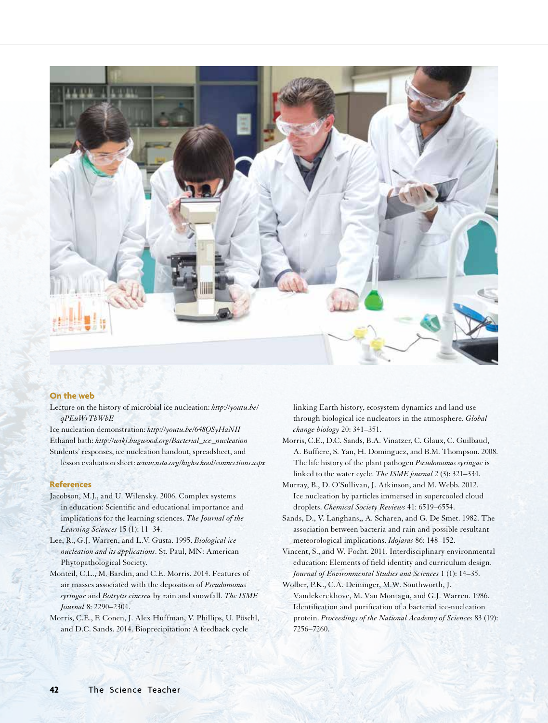

## **On the web**

Lecture on the history of microbial ice nucleation: *http://youtu.be/ qPEuWrTbWbE*

Ice nucleation demonstration: *http://youtu.be/648QSyHaNII* Ethanol bath: *http://wiki.bugwood.org/Bacterial\_ice\_nucleation* Students' responses, ice nucleation handout, spreadsheet, and

lesson evaluation sheet: *www.nsta.org/highschool/connections.aspx* 

#### **References**

- Jacobson, M.J., and U. Wilensky. 2006. Complex systems in education: Scientific and educational importance and implications for the learning sciences. *The Journal of the Learning Sciences* 15 (1): 11–34.
- Lee, R., G.J. Warren, and L.V. Gusta. 1995. *Biological ice nucleation and its applications*. St. Paul, MN: American Phytopathological Society.
- Monteil, C.L., M. Bardin, and C.E. Morris. 2014. Features of air masses associated with the deposition of *Pseudomonas syringae* and *Botrytis cinerea* by rain and snowfall. *The ISME Journal* 8: 2290–2304.
- Morris, C.E., F. Conen, J. Alex Huffman, V. Phillips, U. Pöschl, and D.C. Sands. 2014. Bioprecipitation: A feedback cycle

linking Earth history, ecosystem dynamics and land use through biological ice nucleators in the atmosphere. *Global change biology* 20: 341–351.

- Morris, C.E., D.C. Sands, B.A. Vinatzer, C. Glaux, C. Guilbaud, A. Buffiere, S. Yan, H. Dominguez, and B.M. Thompson. 2008. The life history of the plant pathogen *Pseudomonas syringae* is linked to the water cycle. *The ISME journal* 2 (3): 321–334.
- Murray, B., D. O'Sullivan, J. Atkinson, and M. Webb. 2012. Ice nucleation by particles immersed in supercooled cloud droplets. *Chemical Society Reviews* 41: 6519–6554.
- Sands, D., V. Langhans,, A. Scharen, and G. De Smet. 1982. The association between bacteria and rain and possible resultant meteorological implications. *Idojaras* 86: 148–152.
- Vincent, S., and W. Focht. 2011. Interdisciplinary environmental education: Elements of field identity and curriculum design. *Journal of Environmental Studies and Sciences* 1 (1): 14–35.
- Wolber, P.K., C.A. Deininger, M.W. Southworth, J. Vandekerckhove, M. Van Montagu, and G.J. Warren. 1986. Identification and purification of a bacterial ice-nucleation protein. *Proceedings of the National Academy of Sciences* 83 (19): 7256–7260.